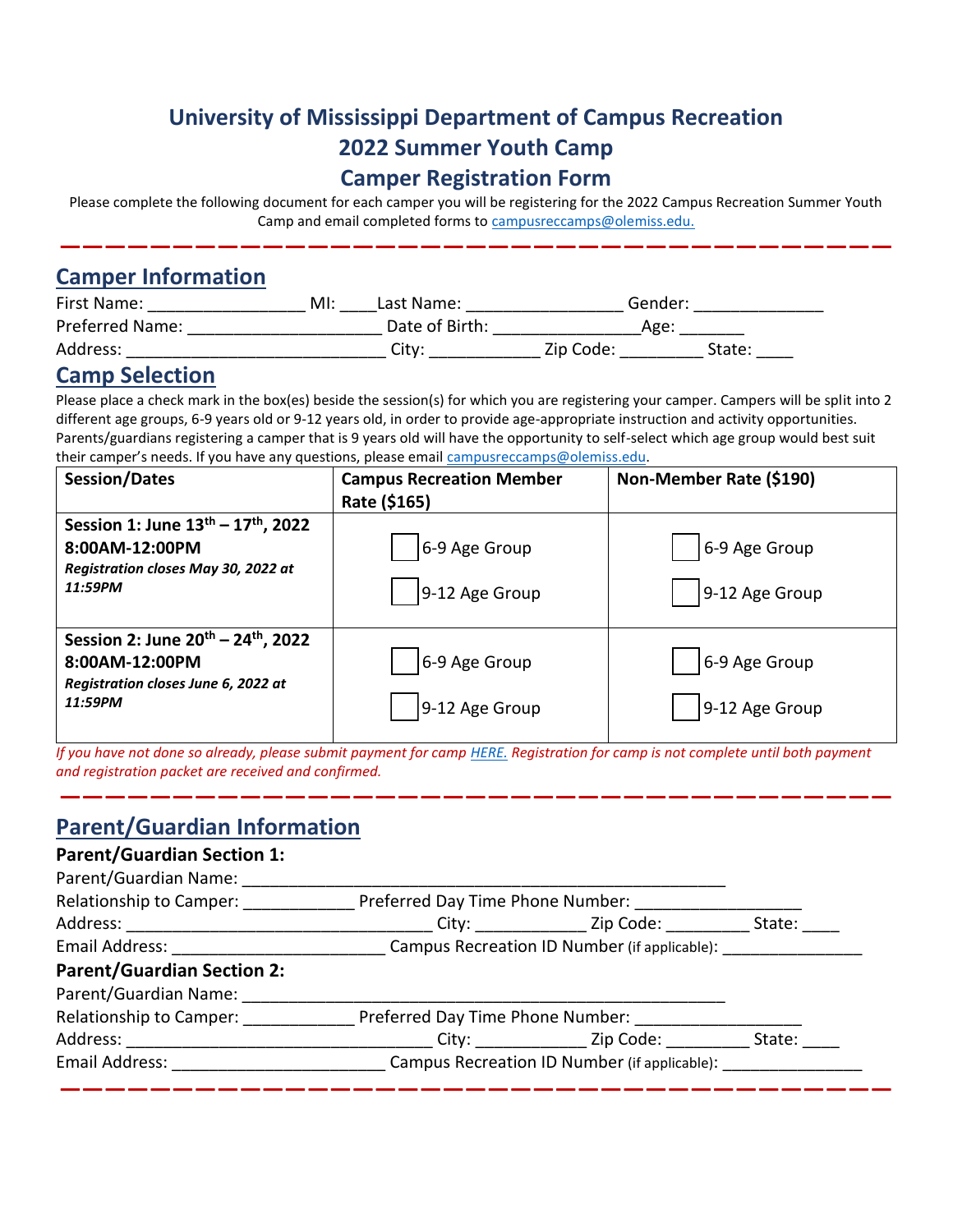# **University of Mississippi Department of Campus Recreation 2022 Summer Youth Camp Camper Registration Form**

Please complete the following document for each camper you will be registering for the 2022 Campus Recreation Summer Youth Camp and email completed forms to [campusreccamps@olemiss.edu.](mailto:campusreccamps@olemiss.edu)

**—————————————————————————————————————**

### **Camper Information**

| First Name:     | MI:   | Last Name:     | Gender: |
|-----------------|-------|----------------|---------|
| Preferred Name: |       | Date of Birth: | Age:    |
| Address:        | Citv: | Zip Code:      | State:  |

### **Camp Selection**

Please place a check mark in the box(es) beside the session(s) for which you are registering your camper. Campers will be split into 2 different age groups, 6-9 years old or 9-12 years old, in order to provide age-appropriate instruction and activity opportunities. Parents/guardians registering a camper that is 9 years old will have the opportunity to self-select which age group would best suit their camper's needs. If you have any questions, please email [campusreccamps@olemiss.edu.](mailto:campusreccamps@olemiss.edu)

| <b>Session/Dates</b>                                                                                                           | <b>Campus Recreation Member</b><br>Rate (\$165) | Non-Member Rate (\$190)         |
|--------------------------------------------------------------------------------------------------------------------------------|-------------------------------------------------|---------------------------------|
| Session 1: June $13^{th} - 17^{th}$ , 2022<br>8:00AM-12:00PM<br>Registration closes May 30, 2022 at<br>11:59PM                 | 6-9 Age Group<br>9-12 Age Group                 | 6-9 Age Group<br>9-12 Age Group |
| Session 2: June 20 <sup>th</sup> - 24 <sup>th</sup> , 2022<br>8:00AM-12:00PM<br>Registration closes June 6, 2022 at<br>11:59PM | 6-9 Age Group<br>9-12 Age Group                 | 6-9 Age Group<br>9-12 Age Group |

*If you have not done so already, please submit payment for camp [HERE.](https://secure.touchnet.net/C21670_ustores/web/store_cat.jsp?STOREID=8&CATID=140&SINGLESTORE=true) Registration for camp is not complete until both payment and registration packet are received and confirmed.*

**—————————————————————————————————————**

### **Parent/Guardian Information**

#### **Parent/Guardian Section 1:**

| Relationship to Camper:                                                                                  |                                              | Preferred Day Time Phone Number: |            |
|----------------------------------------------------------------------------------------------------------|----------------------------------------------|----------------------------------|------------|
|                                                                                                          |                                              |                                  | State: ___ |
| Email Address: Campus Recreation ID Number (if applicable): Campus Recreation ID Number (if applicable): |                                              |                                  |            |
| <b>Parent/Guardian Section 2:</b>                                                                        |                                              |                                  |            |
| Parent/Guardian Name:                                                                                    |                                              |                                  |            |
| Relationship to Camper: Preferred Day Time Phone Number: 1996. [19] Preferred Day Time Phone Number:     |                                              |                                  |            |
|                                                                                                          |                                              |                                  | State:     |
| Email Address: North and Senate and Senate Assets                                                        | Campus Recreation ID Number (if applicable): |                                  |            |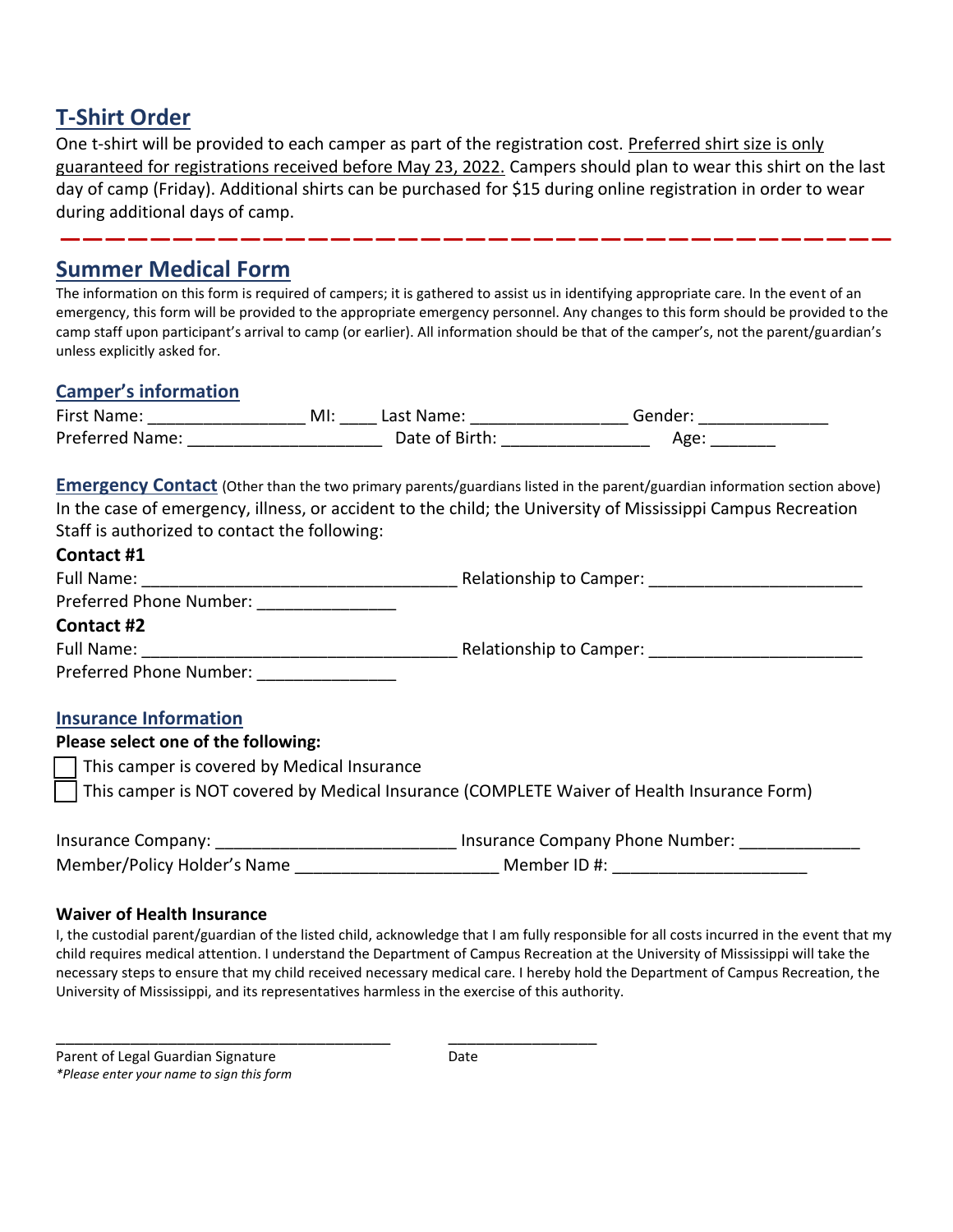## **T-Shirt Order**

One t-shirt will be provided to each camper as part of the registration cost. Preferred shirt size is only guaranteed for registrations received before May 23, 2022. Campers should plan to wear this shirt on the last day of camp (Friday). Additional shirts can be purchased for \$15 during online registration in order to wear during additional days of camp.

**—————————————————————————————————————**

### **Summer Medical Form**

The information on this form is required of campers; it is gathered to assist us in identifying appropriate care. In the event of an emergency, this form will be provided to the appropriate emergency personnel. Any changes to this form should be provided to the camp staff upon participant's arrival to camp (or earlier). All information should be that of the camper's, not the parent/guardian's unless explicitly asked for.

#### **Camper's information**

| First Name:            | MI: | Last Name:     | sender          |
|------------------------|-----|----------------|-----------------|
| <b>Preferred Name:</b> |     | Date of Birth: | A <sub>RC</sub> |

**Emergency Contact** (Other than the two primary parents/guardians listed in the parent/guardian information section above) In the case of emergency, illness, or accident to the child; the University of Mississippi Campus Recreation Staff is authorized to contact the following:

| Contact #1                                                                                          |  |
|-----------------------------------------------------------------------------------------------------|--|
|                                                                                                     |  |
| Preferred Phone Number: _________________                                                           |  |
| Contact #2                                                                                          |  |
|                                                                                                     |  |
| Preferred Phone Number:                                                                             |  |
| <b>Insurance Information</b>                                                                        |  |
| Please select one of the following:                                                                 |  |
| This camper is covered by Medical Insurance                                                         |  |
| This camper is NOT covered by Medical Insurance (COMPLETE Waiver of Health Insurance Form)          |  |
|                                                                                                     |  |
| Member/Policy Holder's Name __________________________ Member ID #: _______________________________ |  |

#### **Waiver of Health Insurance**

I, the custodial parent/guardian of the listed child, acknowledge that I am fully responsible for all costs incurred in the event that my child requires medical attention. I understand the Department of Campus Recreation at the University of Mississippi will take the necessary steps to ensure that my child received necessary medical care. I hereby hold the Department of Campus Recreation, the University of Mississippi, and its representatives harmless in the exercise of this authority.

\_\_\_\_\_\_\_\_\_\_\_\_\_\_\_\_\_\_\_\_\_\_\_\_\_\_\_\_\_\_\_\_\_\_\_\_ \_\_\_\_\_\_\_\_\_\_\_\_\_\_\_\_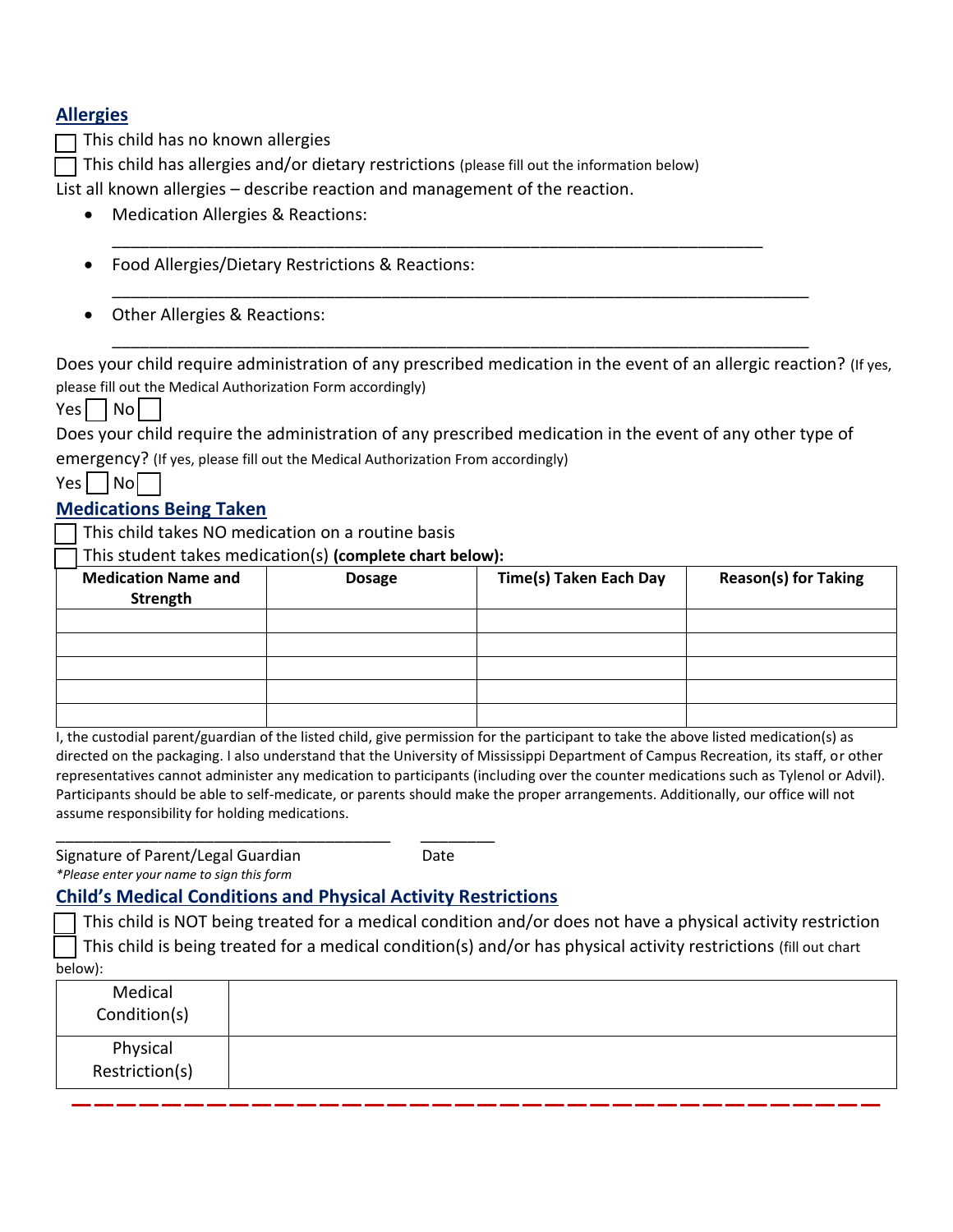#### **Allergies**

This child has no known allergies

This child has allergies and/or dietary restrictions (please fill out the information below)

List all known allergies – describe reaction and management of the reaction.

- Medication Allergies & Reactions:
- Food Allergies/Dietary Restrictions & Reactions:
- Other Allergies & Reactions:

Does your child require administration of any prescribed medication in the event of an allergic reaction? (If yes, please fill out the Medical Authorization Form accordingly)

\_\_\_\_\_\_\_\_\_\_\_\_\_\_\_\_\_\_\_\_\_\_\_\_\_\_\_\_\_\_\_\_\_\_\_\_\_\_\_\_\_\_\_\_\_\_\_\_\_\_\_\_\_\_\_\_\_\_\_\_\_\_\_\_\_\_\_\_\_\_\_\_\_\_\_

\_\_\_\_\_\_\_\_\_\_\_\_\_\_\_\_\_\_\_\_\_\_\_\_\_\_\_\_\_\_\_\_\_\_\_\_\_\_\_\_\_\_\_\_\_\_\_\_\_\_\_\_\_\_\_\_\_\_\_\_\_\_\_\_\_\_\_\_\_\_\_\_\_\_\_

 $Yes \mid \neg \neg \neg \neg \neg$ 

Does your child require the administration of any prescribed medication in the event of any other type of

\_\_\_\_\_\_\_\_\_\_\_\_\_\_\_\_\_\_\_\_\_\_\_\_\_\_\_\_\_\_\_\_\_\_\_\_\_\_\_\_\_\_\_\_\_\_\_\_\_\_\_\_\_\_\_\_\_\_\_\_\_\_\_\_\_\_\_\_\_\_

emergency? (If yes, please fill out the Medical Authorization From accordingly)

| Y<br>o | Nol |
|--------|-----|
|--------|-----|

#### **Medications Being Taken**

This child takes NO medication on a routine basis

\_\_ This student takes medication(s) **(complete chart below):**

| <b>Medication Name and</b><br>Strength | <b>Dosage</b> | <b>Time(s) Taken Each Day</b> | <b>Reason(s) for Taking</b> |
|----------------------------------------|---------------|-------------------------------|-----------------------------|
|                                        |               |                               |                             |
|                                        |               |                               |                             |
|                                        |               |                               |                             |
|                                        |               |                               |                             |
|                                        |               |                               |                             |

I, the custodial parent/guardian of the listed child, give permission for the participant to take the above listed medication(s) as directed on the packaging. I also understand that the University of Mississippi Department of Campus Recreation, its staff, or other representatives cannot administer any medication to participants (including over the counter medications such as Tylenol or Advil). Participants should be able to self-medicate, or parents should make the proper arrangements. Additionally, our office will not assume responsibility for holding medications.

\_\_\_\_\_\_\_\_\_\_\_\_\_\_\_\_\_\_\_\_\_\_\_\_\_\_\_\_\_\_\_\_\_\_\_\_ \_\_\_\_\_\_\_\_ Signature of Parent/Legal Guardian Date *\*Please enter your name to sign this form*

#### **Child's Medical Conditions and Physical Activity Restrictions**

This child is NOT being treated for a medical condition and/or does not have a physical activity restriction This child is being treated for a medical condition(s) and/or has physical activity restrictions (fill out chart below):

| <b>UCIUWJ.</b>             |  |
|----------------------------|--|
| Medical<br>Condition(s)    |  |
| Physical<br>Restriction(s) |  |
|                            |  |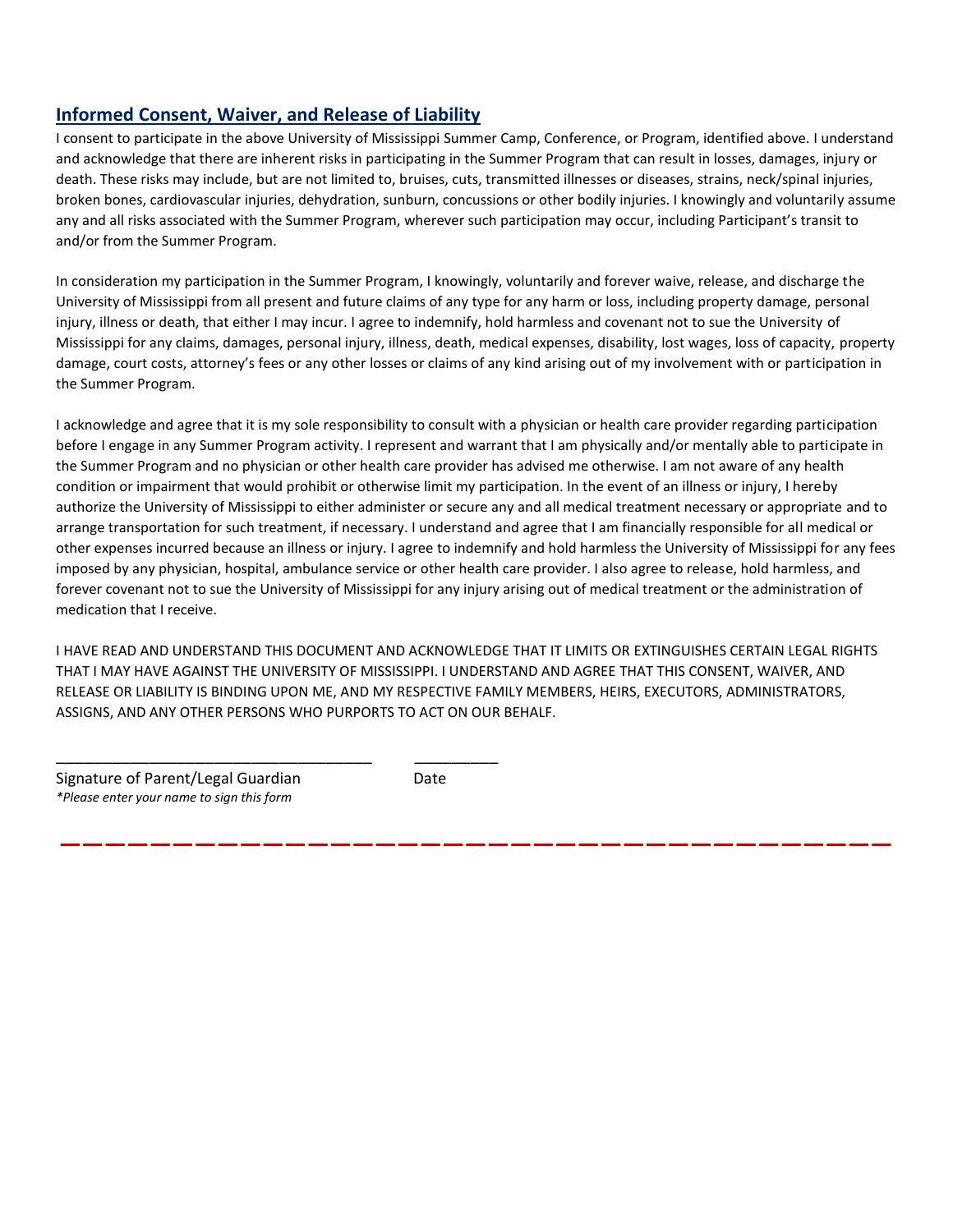#### **Informed Consent, Waiver, and Release of Liability**

I consent to participate in the above University of Mississippi Summer Camp, Conference, or Program, identified above. I understand and acknowledge that there are inherent risks in participating in the Summer Program that can result in losses, damages, injury or death. These risks may include, but are not limited to, bruises, cuts, transmitted illnesses or diseases, strains, neck/spinal injuries, broken bones, cardiovascular injuries, dehydration, sunburn, concussions or other bodily injuries. I knowingly and voluntarily assume any and all risks associated with the Summer Program, wherever such participation may occur, including Participant's transit to and/or from the Summer Program.

In consideration my participation in the Summer Program, I knowingly, voluntarily and forever waive, release, and discharge the University of Mississippi from all present and future claims of any type for any harm or loss, including property damage, personal injury, illness or death, that either I may incur. I agree to indemnify, hold harmless and covenant not to sue the University of Mississippi for any claims, damages, personal injury, illness, death, medical expenses, disability, lost wages, loss of capacity, property damage, court costs, attorney's fees or any other losses or claims of any kind arising out of my involvement with or participation in the Summer Program.

I acknowledge and agree that it is my sole responsibility to consult with a physician or health care provider regarding participation before I engage in any Summer Program activity. I represent and warrant that I am physically and/or mentally able to participate in the Summer Program and no physician or other health care provider has advised me otherwise. I am not aware of any health condition or impairment that would prohibit or otherwise limit my participation. In the event of an illness or injury, I hereby authorize the University of Mississippi to either administer or secure any and all medical treatment necessary or appropriate and to arrange transportation for such treatment, if necessary. I understand and agree that I am financially responsible for all medical or other expenses incurred because an illness or injury. I agree to indemnify and hold harmless the University of Mississippi for any fees imposed by any physician, hospital, ambulance service or other health care provider. I also agree to release, hold harmless, and forever covenant not to sue the University of Mississippi for any injury arising out of medical treatment or the administration of medication that I receive.

I HAVE READ AND UNDERSTAND THIS DOCUMENT AND ACKNOWLEDGE THAT IT LIMITS OR EXTINGUISHES CERTAIN LEGAL RIGHTS THAT I MAY HAVE AGAINST THE UNIVERSITY OF MISSISSIPPI. I UNDERSTAND AND AGREE THAT THIS CONSENT, WAIVER, AND RELEASE OR LIABILITY IS BINDING UPON ME, AND MY RESPECTIVE FAMILY MEMBERS, HEIRS, EXECUTORS, ADMINISTRATORS, ASSIGNS, AND ANY OTHER PERSONS WHO PURPORTS TO ACT ON OUR BEHALF.

**—————————————————————————————————————**

Signature of Parent/Legal Guardian Date *\*Please enter your name to sign this form*

\_\_\_\_\_\_\_\_\_\_\_\_\_\_\_\_\_\_\_\_\_\_\_\_\_\_\_\_\_\_\_\_\_\_ \_\_\_\_\_\_\_\_\_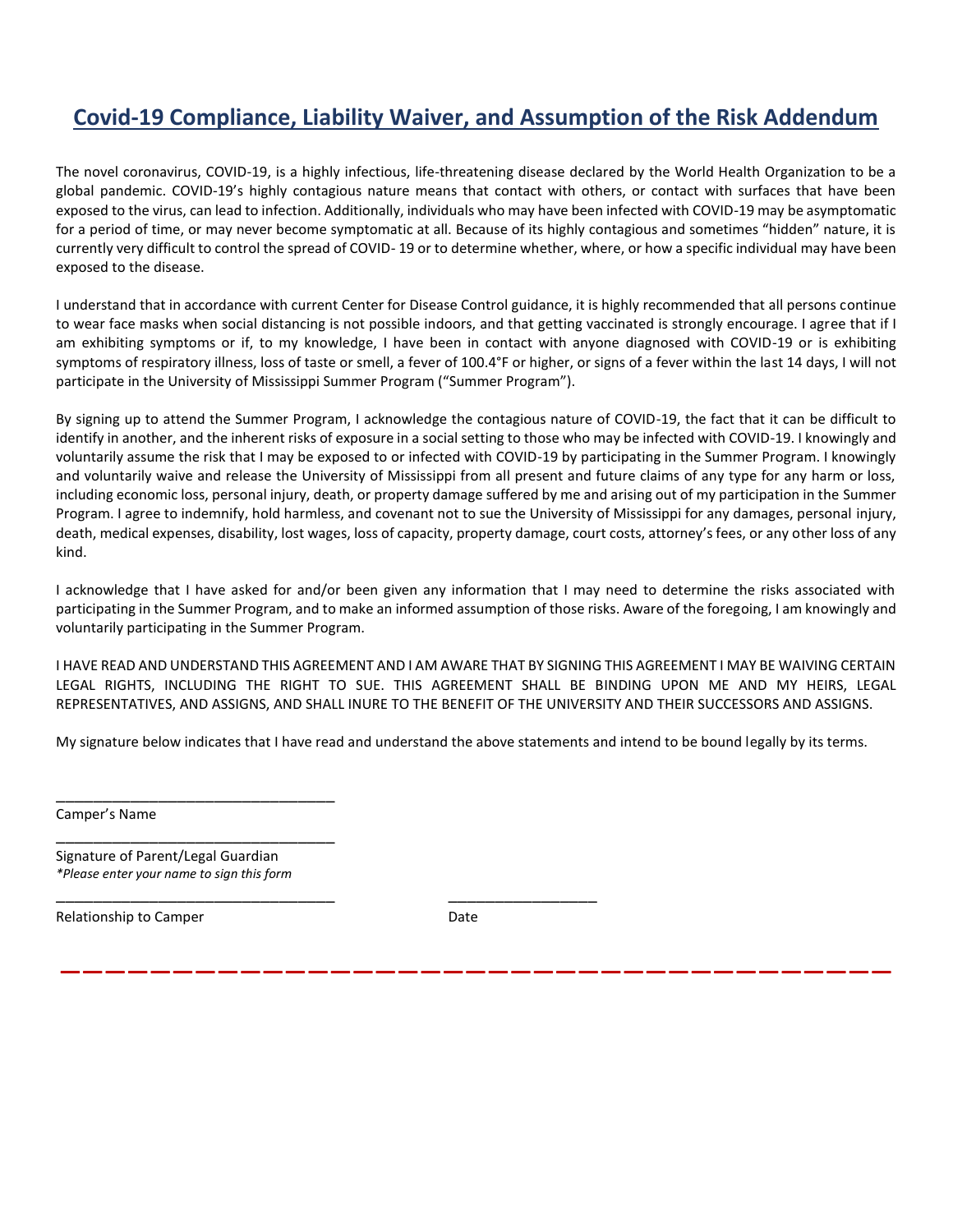# **Covid-19 Compliance, Liability Waiver, and Assumption of the Risk Addendum**

The novel coronavirus, COVID-19, is a highly infectious, life-threatening disease declared by the World Health Organization to be a global pandemic. COVID-19's highly contagious nature means that contact with others, or contact with surfaces that have been exposed to the virus, can lead to infection. Additionally, individuals who may have been infected with COVID-19 may be asymptomatic for a period of time, or may never become symptomatic at all. Because of its highly contagious and sometimes "hidden" nature, it is currently very difficult to control the spread of COVID- 19 or to determine whether, where, or how a specific individual may have been exposed to the disease.

I understand that in accordance with current Center for Disease Control guidance, it is highly recommended that all persons continue to wear face masks when social distancing is not possible indoors, and that getting vaccinated is strongly encourage. I agree that if I am exhibiting symptoms or if, to my knowledge, I have been in contact with anyone diagnosed with COVID-19 or is exhibiting symptoms of respiratory illness, loss of taste or smell, a fever of 100.4°F or higher, or signs of a fever within the last 14 days, I will not participate in the University of Mississippi Summer Program ("Summer Program").

By signing up to attend the Summer Program, I acknowledge the contagious nature of COVID-19, the fact that it can be difficult to identify in another, and the inherent risks of exposure in a social setting to those who may be infected with COVID-19. I knowingly and voluntarily assume the risk that I may be exposed to or infected with COVID-19 by participating in the Summer Program. I knowingly and voluntarily waive and release the University of Mississippi from all present and future claims of any type for any harm or loss, including economic loss, personal injury, death, or property damage suffered by me and arising out of my participation in the Summer Program. I agree to indemnify, hold harmless, and covenant not to sue the University of Mississippi for any damages, personal injury, death, medical expenses, disability, lost wages, loss of capacity, property damage, court costs, attorney's fees, or any other loss of any kind.

I acknowledge that I have asked for and/or been given any information that I may need to determine the risks associated with participating in the Summer Program, and to make an informed assumption of those risks. Aware of the foregoing, I am knowingly and voluntarily participating in the Summer Program.

I HAVE READ AND UNDERSTAND THIS AGREEMENT AND I AM AWARE THAT BY SIGNING THIS AGREEMENT I MAY BE WAIVING CERTAIN LEGAL RIGHTS, INCLUDING THE RIGHT TO SUE. THIS AGREEMENT SHALL BE BINDING UPON ME AND MY HEIRS, LEGAL REPRESENTATIVES, AND ASSIGNS, AND SHALL INURE TO THE BENEFIT OF THE UNIVERSITY AND THEIR SUCCESSORS AND ASSIGNS.

My signature below indicates that I have read and understand the above statements and intend to be bound legally by its terms.

Camper's Name

Signature of Parent/Legal Guardian *\*Please enter your name to sign this form*

\_\_\_\_\_\_\_\_\_\_\_\_\_\_\_\_\_\_\_\_\_\_\_\_\_\_\_\_\_\_

\_\_\_\_\_\_\_\_\_\_\_\_\_\_\_\_\_\_\_\_\_\_\_\_\_\_\_\_\_\_

Relationship to Camper **Date** Date

**—————————————————————————————————————**

\_\_\_\_\_\_\_\_\_\_\_\_\_\_\_\_\_\_\_\_\_\_\_\_\_\_\_\_\_\_ \_\_\_\_\_\_\_\_\_\_\_\_\_\_\_\_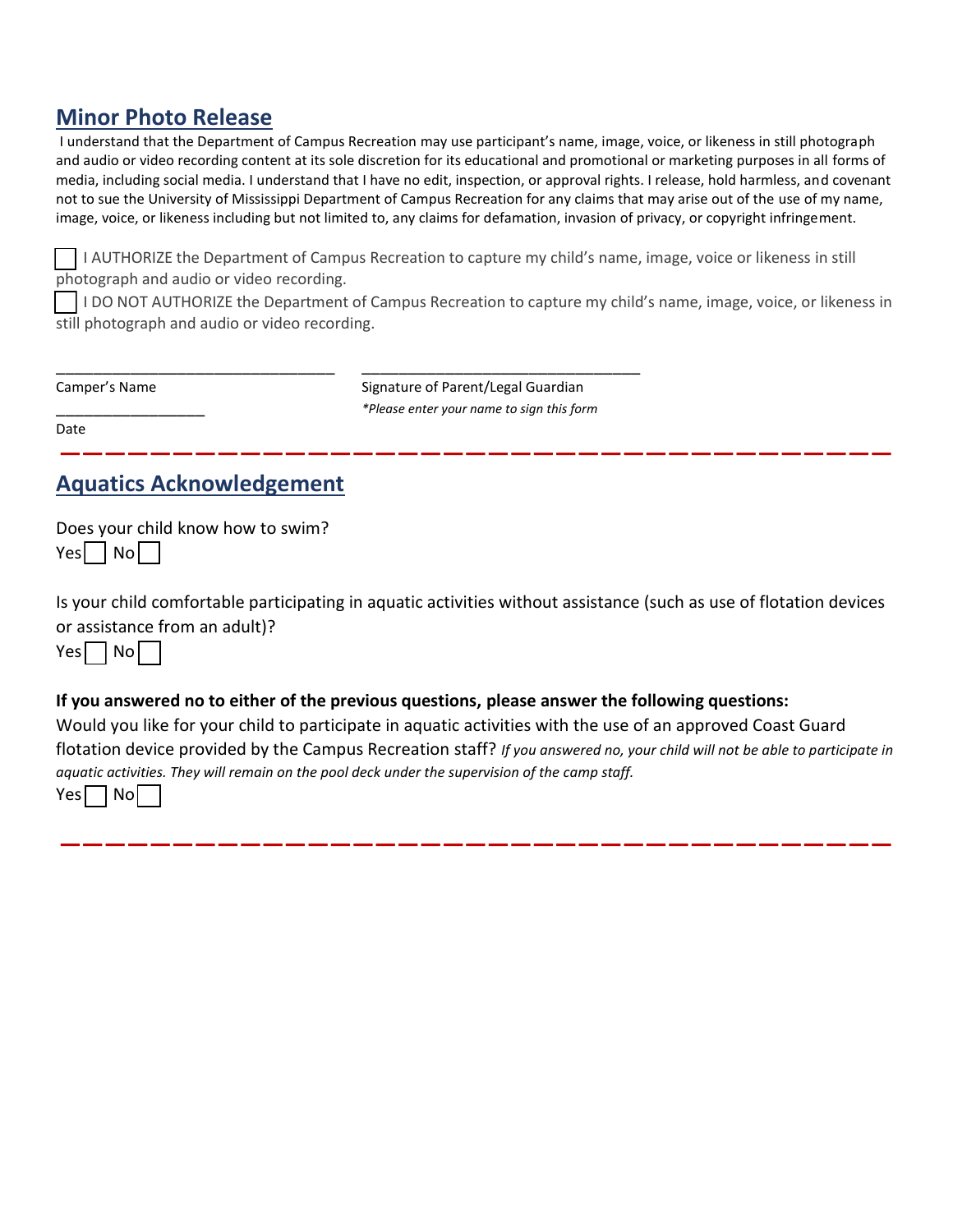## **Minor Photo Release**

I understand that the Department of Campus Recreation may use participant's name, image, voice, or likeness in still photograph and audio or video recording content at its sole discretion for its educational and promotional or marketing purposes in all forms of media, including social media. I understand that I have no edit, inspection, or approval rights. I release, hold harmless, and covenant not to sue the University of Mississippi Department of Campus Recreation for any claims that may arise out of the use of my name, image, voice, or likeness including but not limited to, any claims for defamation, invasion of privacy, or copyright infringement.

\_\_ I AUTHORIZE the Department of Campus Recreation to capture my child's name, image, voice or likeness in still photograph and audio or video recording.

\_\_ I DO NOT AUTHORIZE the Department of Campus Recreation to capture my child's name, image, voice, or likeness in still photograph and audio or video recording.

| Camper's Name |  |  |  |
|---------------|--|--|--|
|---------------|--|--|--|

\_\_\_\_\_\_\_\_\_\_\_\_\_\_\_\_\_\_\_\_\_\_\_\_\_\_\_\_\_\_ \_\_\_\_\_\_\_\_\_\_\_\_\_\_\_\_\_\_\_\_\_\_\_\_\_\_\_\_\_\_ Signature of Parent/Legal Guardian \_\_\_\_\_\_\_\_\_\_\_\_\_\_\_\_ *\*Please enter your name to sign this form*

**—————————————————————————————————————**

Date

## **Aquatics Acknowledgement**

Does your child know how to swim?  $Yes$  | No | |

Is your child comfortable participating in aquatic activities without assistance (such as use of flotation devices or assistance from an adult)?

 $Yes \Box No \Box$ 

#### **If you answered no to either of the previous questions, please answer the following questions:**

Would you like for your child to participate in aquatic activities with the use of an approved Coast Guard flotation device provided by the Campus Recreation staff? *If you answered no, your child will not be able to participate in aquatic activities. They will remain on the pool deck under the supervision of the camp staff.*

**—————————————————————————————————————**

 $Yes \Box No$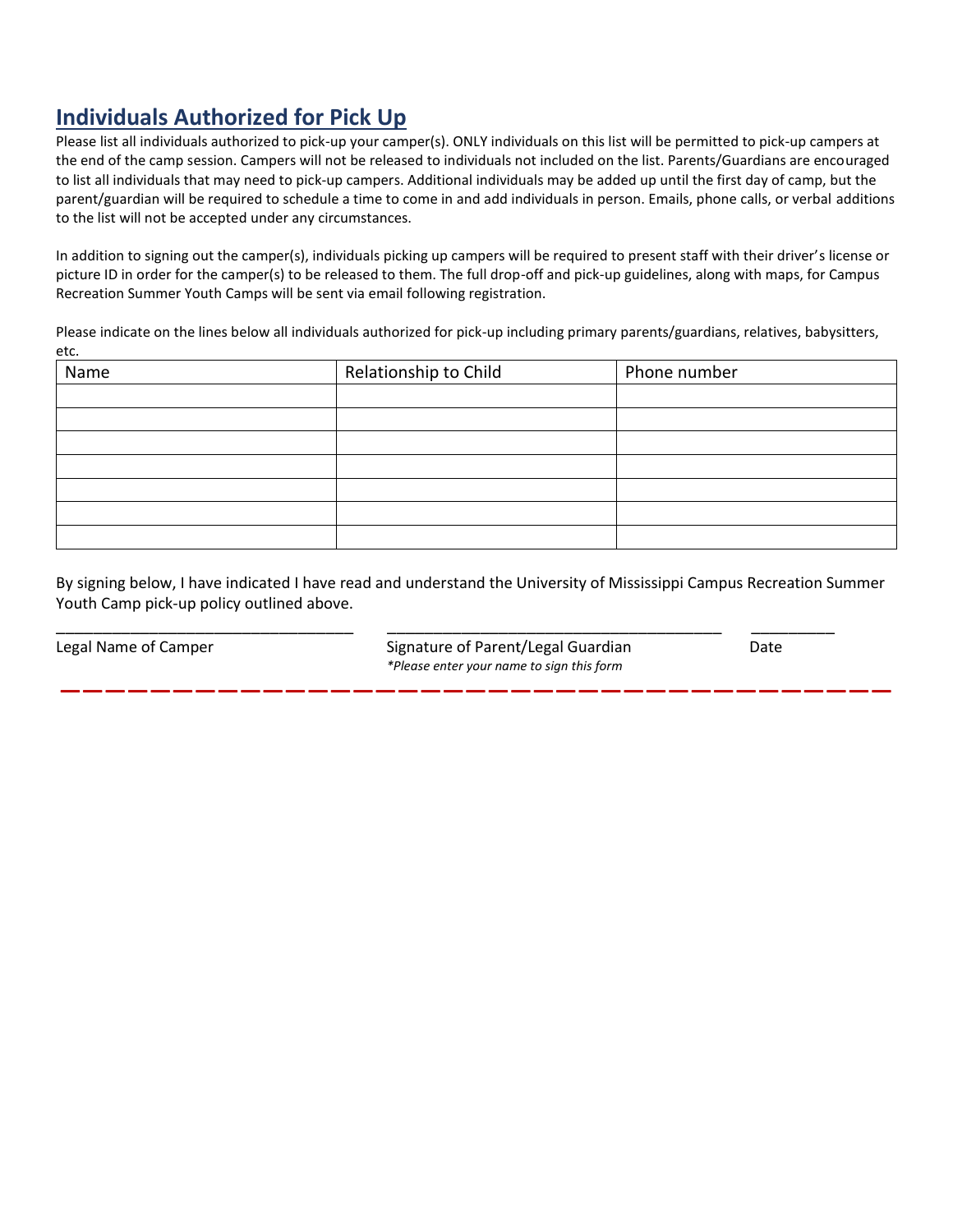# **Individuals Authorized for Pick Up**

Please list all individuals authorized to pick-up your camper(s). ONLY individuals on this list will be permitted to pick-up campers at the end of the camp session. Campers will not be released to individuals not included on the list. Parents/Guardians are encouraged to list all individuals that may need to pick-up campers. Additional individuals may be added up until the first day of camp, but the parent/guardian will be required to schedule a time to come in and add individuals in person. Emails, phone calls, or verbal additions to the list will not be accepted under any circumstances.

In addition to signing out the camper(s), individuals picking up campers will be required to present staff with their driver's license or picture ID in order for the camper(s) to be released to them. The full drop-off and pick-up guidelines, along with maps, for Campus Recreation Summer Youth Camps will be sent via email following registration.

Please indicate on the lines below all individuals authorized for pick-up including primary parents/guardians, relatives, babysitters, etc.

| Name | Relationship to Child | Phone number |
|------|-----------------------|--------------|
|      |                       |              |
|      |                       |              |
|      |                       |              |
|      |                       |              |
|      |                       |              |
|      |                       |              |
|      |                       |              |

By signing below, I have indicated I have read and understand the University of Mississippi Campus Recreation Summer Youth Camp pick-up policy outlined above.

**—————————————————————————————————————**

\_\_\_\_\_\_\_\_\_\_\_\_\_\_\_\_\_\_\_\_\_\_\_\_\_\_\_\_\_\_\_\_ \_\_\_\_\_\_\_\_\_\_\_\_\_\_\_\_\_\_\_\_\_\_\_\_\_\_\_\_\_\_\_\_\_\_\_\_ \_\_\_\_\_\_\_\_\_

Legal Name of Camper The Signature of Parent/Legal Guardian Date Date *\*Please enter your name to sign this form*